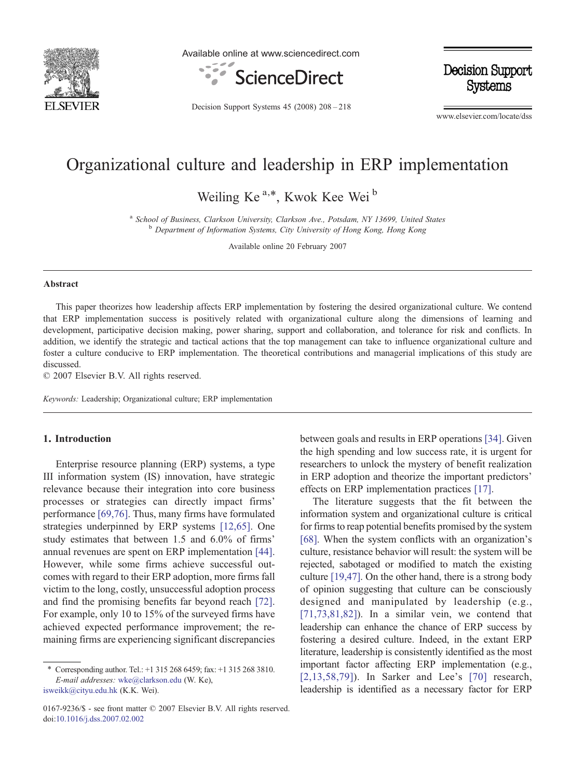

Available online at www.sciencedirect.com



Decision Support Systems 45 (2008) 208–218

**Decision Support** Systems

www.elsevier.com/locate/dss

## Organizational culture and leadership in ERP implementation

Weiling Ke<sup> $a,*$ </sup>, Kwok Kee Wei<sup>b</sup>

<sup>a</sup> School of Business, Clarkson University, Clarkson Ave., Potsdam, NY 13699, United States<br><sup>b</sup> Department of Information Systems, City University of Hong Kong, Hong Kong

Available online 20 February 2007

#### Abstract

This paper theorizes how leadership affects ERP implementation by fostering the desired organizational culture. We contend that ERP implementation success is positively related with organizational culture along the dimensions of learning and development, participative decision making, power sharing, support and collaboration, and tolerance for risk and conflicts. In addition, we identify the strategic and tactical actions that the top management can take to influence organizational culture and foster a culture conducive to ERP implementation. The theoretical contributions and managerial implications of this study are discussed.

© 2007 Elsevier B.V. All rights reserved.

Keywords: Leadership; Organizational culture; ERP implementation

### 1. Introduction

Enterprise resource planning (ERP) systems, a type III information system (IS) innovation, have strategic relevance because their integration into core business processes or strategies can directly impact firms' performance [\[69,76\]](#page--1-0). Thus, many firms have formulated strategies underpinned by ERP systems [\[12,65\].](#page--1-0) One study estimates that between 1.5 and 6.0% of firms' annual revenues are spent on ERP implementation [\[44\].](#page--1-0) However, while some firms achieve successful outcomes with regard to their ERP adoption, more firms fall victim to the long, costly, unsuccessful adoption process and find the promising benefits far beyond reach [\[72\].](#page--1-0) For example, only 10 to 15% of the surveyed firms have achieved expected performance improvement; the remaining firms are experiencing significant discrepancies between goals and results in ERP operations [\[34\].](#page--1-0) Given the high spending and low success rate, it is urgent for researchers to unlock the mystery of benefit realization in ERP adoption and theorize the important predictors' effects on ERP implementation practices [\[17\].](#page--1-0)

The literature suggests that the fit between the information system and organizational culture is critical for firms to reap potential benefits promised by the system [\[68\]](#page--1-0). When the system conflicts with an organization's culture, resistance behavior will result: the system will be rejected, sabotaged or modified to match the existing culture [\[19,47\].](#page--1-0) On the other hand, there is a strong body of opinion suggesting that culture can be consciously designed and manipulated by leadership (e.g., [\[71,73,81,82\]\)](#page--1-0). In a similar vein, we contend that leadership can enhance the chance of ERP success by fostering a desired culture. Indeed, in the extant ERP literature, leadership is consistently identified as the most important factor affecting ERP implementation (e.g., [\[2,13,58,79\]](#page--1-0)). In Sarker and Lee's [\[70\]](#page--1-0) research, leadership is identified as a necessary factor for ERP

<sup>⁎</sup> Corresponding author. Tel.: +1 315 268 6459; fax: +1 315 268 3810. E-mail addresses: [wke@clarkson.edu](mailto:wke@clarkson.edu) (W. Ke),

[isweikk@cityu.edu.hk](mailto:isweikk@cityu.edu.hk) (K.K. Wei).

<sup>0167-9236/\$ -</sup> see front matter © 2007 Elsevier B.V. All rights reserved. doi[:10.1016/j.dss.2007.02.002](http://dx.doi.org/10.1016/j.dss.2007.02.002)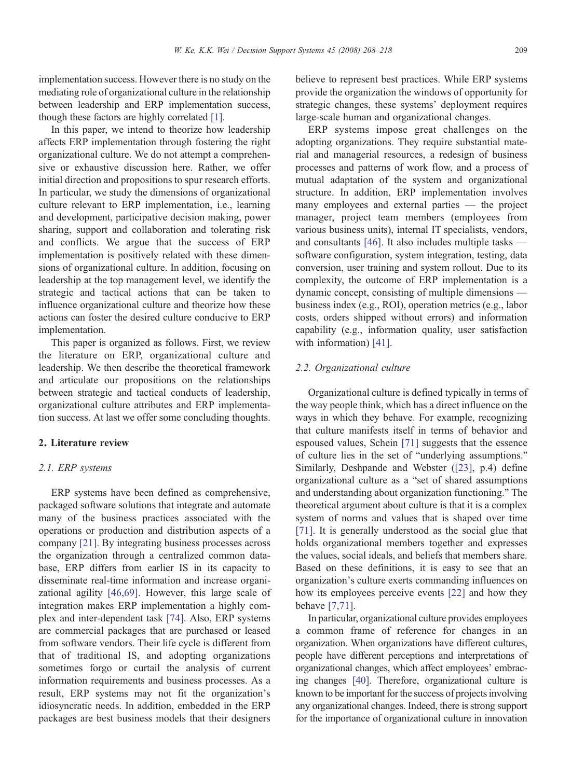implementation success. However there is no study on the mediating role of organizational culture in the relationship between leadership and ERP implementation success, though these factors are highly correlated [\[1\]](#page--1-0).

In this paper, we intend to theorize how leadership affects ERP implementation through fostering the right organizational culture. We do not attempt a comprehensive or exhaustive discussion here. Rather, we offer initial direction and propositions to spur research efforts. In particular, we study the dimensions of organizational culture relevant to ERP implementation, i.e., learning and development, participative decision making, power sharing, support and collaboration and tolerating risk and conflicts. We argue that the success of ERP implementation is positively related with these dimensions of organizational culture. In addition, focusing on leadership at the top management level, we identify the strategic and tactical actions that can be taken to influence organizational culture and theorize how these actions can foster the desired culture conducive to ERP implementation.

This paper is organized as follows. First, we review the literature on ERP, organizational culture and leadership. We then describe the theoretical framework and articulate our propositions on the relationships between strategic and tactical conducts of leadership, organizational culture attributes and ERP implementation success. At last we offer some concluding thoughts.

## 2. Literature review

#### 2.1. ERP systems

ERP systems have been defined as comprehensive, packaged software solutions that integrate and automate many of the business practices associated with the operations or production and distribution aspects of a company [\[21\]](#page--1-0). By integrating business processes across the organization through a centralized common database, ERP differs from earlier IS in its capacity to disseminate real-time information and increase organizational agility [\[46,69\].](#page--1-0) However, this large scale of integration makes ERP implementation a highly complex and inter-dependent task [\[74\]](#page--1-0). Also, ERP systems are commercial packages that are purchased or leased from software vendors. Their life cycle is different from that of traditional IS, and adopting organizations sometimes forgo or curtail the analysis of current information requirements and business processes. As a result, ERP systems may not fit the organization's idiosyncratic needs. In addition, embedded in the ERP packages are best business models that their designers

believe to represent best practices. While ERP systems provide the organization the windows of opportunity for strategic changes, these systems' deployment requires large-scale human and organizational changes.

ERP systems impose great challenges on the adopting organizations. They require substantial material and managerial resources, a redesign of business processes and patterns of work flow, and a process of mutual adaptation of the system and organizational structure. In addition, ERP implementation involves many employees and external parties — the project manager, project team members (employees from various business units), internal IT specialists, vendors, and consultants [\[46\].](#page--1-0) It also includes multiple tasks software configuration, system integration, testing, data conversion, user training and system rollout. Due to its complexity, the outcome of ERP implementation is a dynamic concept, consisting of multiple dimensions business index (e.g., ROI), operation metrics (e.g., labor costs, orders shipped without errors) and information capability (e.g., information quality, user satisfaction with information) [\[41\].](#page--1-0)

#### 2.2. Organizational culture

Organizational culture is defined typically in terms of the way people think, which has a direct influence on the ways in which they behave. For example, recognizing that culture manifests itself in terms of behavior and espoused values, Schein [\[71\]](#page--1-0) suggests that the essence of culture lies in the set of "underlying assumptions." Similarly, Deshpande and Webster ([\[23\]](#page--1-0), p.4) define organizational culture as a "set of shared assumptions and understanding about organization functioning." The theoretical argument about culture is that it is a complex system of norms and values that is shaped over time [\[71\]](#page--1-0). It is generally understood as the social glue that holds organizational members together and expresses the values, social ideals, and beliefs that members share. Based on these definitions, it is easy to see that an organization's culture exerts commanding influences on how its employees perceive events [\[22\]](#page--1-0) and how they behave [\[7,71\].](#page--1-0)

In particular, organizational culture provides employees a common frame of reference for changes in an organization. When organizations have different cultures, people have different perceptions and interpretations of organizational changes, which affect employees' embracing changes [\[40\].](#page--1-0) Therefore, organizational culture is known to be important for the success of projects involving any organizational changes. Indeed, there is strong support for the importance of organizational culture in innovation